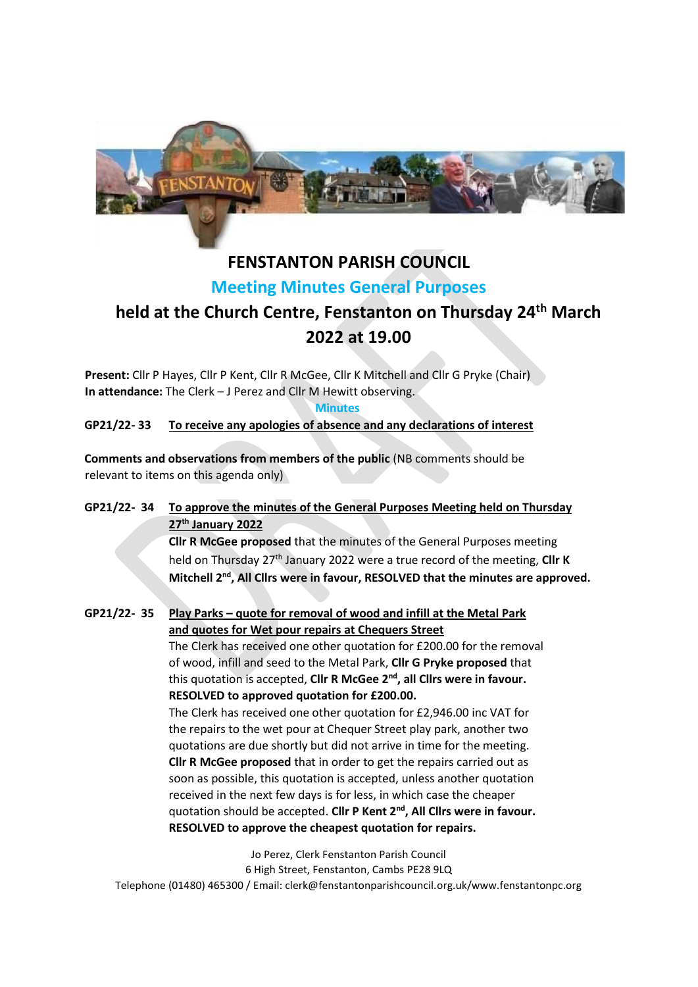

# **FENSTANTON PARISH COUNCIL**

### **Meeting Minutes General Purposes**

## **held at the Church Centre, Fenstanton on Thursday 24th March 2022 at 19.00**

**Present:** Cllr P Hayes, Cllr P Kent, Cllr R McGee, Cllr K Mitchell and Cllr G Pryke (Chair) **In attendance:** The Clerk – J Perez and Cllr M Hewitt observing.

**Minutes** 

**GP21/22- 33 To receive any apologies of absence and any declarations of interest**

**Comments and observations from members of the public** (NB comments should be relevant to items on this agenda only)

#### **GP21/22- 34 To approve the minutes of the General Purposes Meeting held on Thursday 27th January 2022**

**Cllr R McGee proposed** that the minutes of the General Purposes meeting held on Thursday 27th January 2022 were a true record of the meeting, **Cllr K**  Mitchell 2<sup>nd</sup>, All Cllrs were in favour, RESOLVED that the minutes are approved.

**GP21/22- 35 Play Parks – quote for removal of wood and infill at the Metal Park and quotes for Wet pour repairs at Chequers Street** The Clerk has received one other quotation for £200.00 for the removal of wood, infill and seed to the Metal Park, **Cllr G Pryke proposed** that this quotation is accepted, **Cllr R McGee 2nd, all Cllrs were in favour. RESOLVED to approved quotation for £200.00.**

The Clerk has received one other quotation for £2,946.00 inc VAT for the repairs to the wet pour at Chequer Street play park, another two quotations are due shortly but did not arrive in time for the meeting. **Cllr R McGee proposed** that in order to get the repairs carried out as soon as possible, this quotation is accepted, unless another quotation received in the next few days is for less, in which case the cheaper quotation should be accepted. **Cllr P Kent 2nd, All Cllrs were in favour. RESOLVED to approve the cheapest quotation for repairs.**

Jo Perez, Clerk Fenstanton Parish Council 6 High Street, Fenstanton, Cambs PE28 9LQ Telephone (01480) 465300 / Email: clerk@fenstantonparishcouncil.org.uk/www.fenstantonpc.org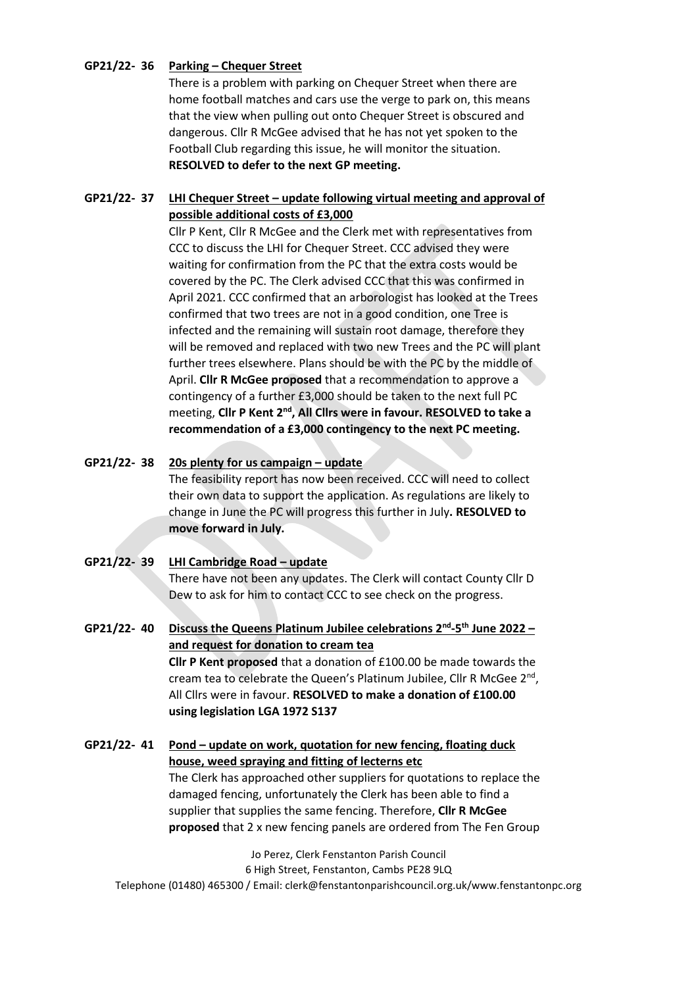#### **GP21/22- 36 Parking – Chequer Street**

There is a problem with parking on Chequer Street when there are home football matches and cars use the verge to park on, this means that the view when pulling out onto Chequer Street is obscured and dangerous. Cllr R McGee advised that he has not yet spoken to the Football Club regarding this issue, he will monitor the situation. **RESOLVED to defer to the next GP meeting.**

#### **GP21/22- 37 LHI Chequer Street – update following virtual meeting and approval of possible additional costs of £3,000**

Cllr P Kent, Cllr R McGee and the Clerk met with representatives from CCC to discuss the LHI for Chequer Street. CCC advised they were waiting for confirmation from the PC that the extra costs would be covered by the PC. The Clerk advised CCC that this was confirmed in April 2021. CCC confirmed that an arborologist has looked at the Trees confirmed that two trees are not in a good condition, one Tree is infected and the remaining will sustain root damage, therefore they will be removed and replaced with two new Trees and the PC will plant further trees elsewhere. Plans should be with the PC by the middle of April. **Cllr R McGee proposed** that a recommendation to approve a contingency of a further £3,000 should be taken to the next full PC meeting, **Cllr P Kent 2nd, All Cllrs were in favour. RESOLVED to take a recommendation of a £3,000 contingency to the next PC meeting.**

#### **GP21/22- 38 20s plenty for us campaign – update**

The feasibility report has now been received. CCC will need to collect their own data to support the application. As regulations are likely to change in June the PC will progress this further in July**. RESOLVED to move forward in July.** 

**GP21/22- 39 LHI Cambridge Road – update** There have not been any updates. The Clerk will contact County Cllr D Dew to ask for him to contact CCC to see check on the progress.

**GP21/22- 40 Discuss the Queens Platinum Jubilee celebrations 2nd -5 th June 2022 – and request for donation to cream tea Cllr P Kent proposed** that a donation of £100.00 be made towards the cream tea to celebrate the Queen's Platinum Jubilee, Cllr R McGee 2<sup>nd</sup>, All Cllrs were in favour. **RESOLVED to make a donation of £100.00 using legislation LGA 1972 S137**

**GP21/22- 41 Pond – update on work, quotation for new fencing, floating duck house, weed spraying and fitting of lecterns etc** The Clerk has approached other suppliers for quotations to replace the damaged fencing, unfortunately the Clerk has been able to find a supplier that supplies the same fencing. Therefore, **Cllr R McGee proposed** that 2 x new fencing panels are ordered from The Fen Group

Jo Perez, Clerk Fenstanton Parish Council 6 High Street, Fenstanton, Cambs PE28 9LQ Telephone (01480) 465300 / Email: clerk@fenstantonparishcouncil.org.uk/www.fenstantonpc.org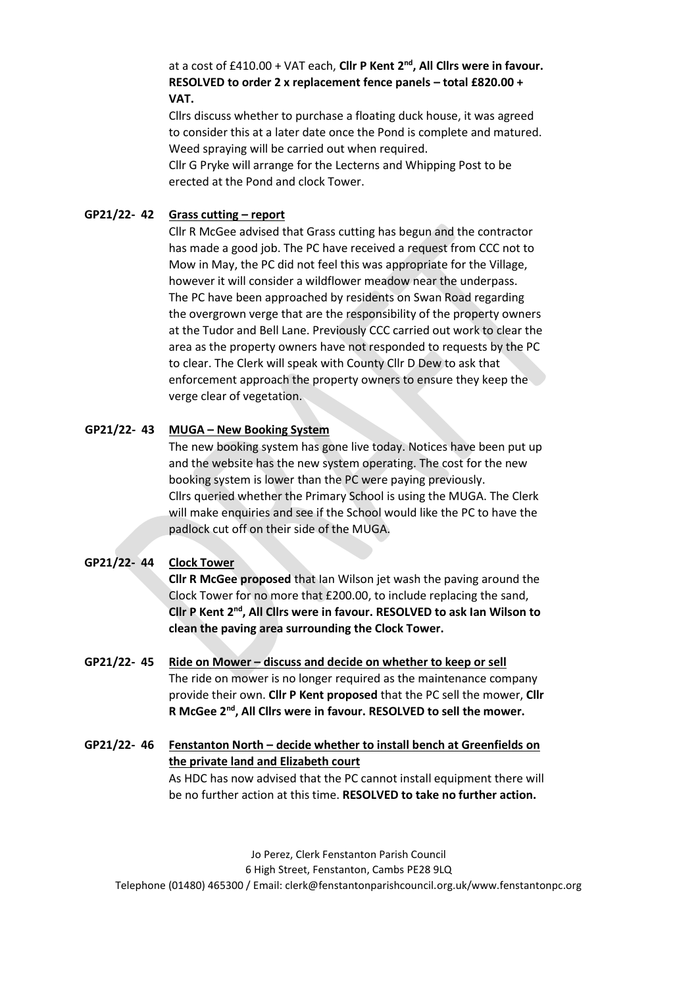#### at a cost of £410.00 + VAT each, **Cllr P Kent 2nd, All Cllrs were in favour. RESOLVED to order 2 x replacement fence panels – total £820.00 + VAT.**

Cllrs discuss whether to purchase a floating duck house, it was agreed to consider this at a later date once the Pond is complete and matured. Weed spraying will be carried out when required.

Cllr G Pryke will arrange for the Lecterns and Whipping Post to be erected at the Pond and clock Tower.

#### **GP21/22- 42 Grass cutting – report**

Cllr R McGee advised that Grass cutting has begun and the contractor has made a good job. The PC have received a request from CCC not to Mow in May, the PC did not feel this was appropriate for the Village, however it will consider a wildflower meadow near the underpass. The PC have been approached by residents on Swan Road regarding the overgrown verge that are the responsibility of the property owners at the Tudor and Bell Lane. Previously CCC carried out work to clear the area as the property owners have not responded to requests by the PC to clear. The Clerk will speak with County Cllr D Dew to ask that enforcement approach the property owners to ensure they keep the verge clear of vegetation.

#### **GP21/22- 43 MUGA – New Booking System**

The new booking system has gone live today. Notices have been put up and the website has the new system operating. The cost for the new booking system is lower than the PC were paying previously. Cllrs queried whether the Primary School is using the MUGA. The Clerk will make enquiries and see if the School would like the PC to have the padlock cut off on their side of the MUGA.

#### **GP21/22- 44 Clock Tower**

**Cllr R McGee proposed** that Ian Wilson jet wash the paving around the Clock Tower for no more that £200.00, to include replacing the sand, **Cllr P Kent 2nd, All Cllrs were in favour. RESOLVED to ask Ian Wilson to clean the paving area surrounding the Clock Tower.**

- **GP21/22- 45 Ride on Mower – discuss and decide on whether to keep or sell** The ride on mower is no longer required as the maintenance company provide their own. **Cllr P Kent proposed** that the PC sell the mower, **Cllr R McGee 2nd, All Cllrs were in favour. RESOLVED to sell the mower.**
- **GP21/22- 46 Fenstanton North – decide whether to install bench at Greenfields on the private land and Elizabeth court** As HDC has now advised that the PC cannot install equipment there will

Jo Perez, Clerk Fenstanton Parish Council 6 High Street, Fenstanton, Cambs PE28 9LQ Telephone (01480) 465300 / Email: clerk@fenstantonparishcouncil.org.uk/www.fenstantonpc.org

be no further action at this time. **RESOLVED to take no further action.**